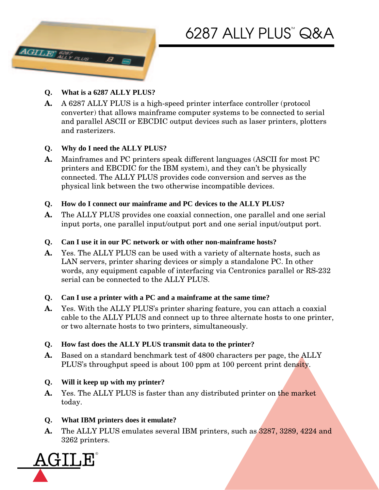



- **Q. What is a 6287 ALLY PLUS?**
- **A.** A 6287 ALLY PLUS is a high-speed printer interface controller (protocol converter) that allows mainframe computer systems to be connected to serial and parallel ASCII or EBCDIC output devices such as laser printers, plotters and rasterizers.

### **Q. Why do I need the ALLY PLUS?**

- **A.** Mainframes and PC printers speak different languages (ASCII for most PC printers and EBCDIC for the IBM system), and they can't be physically connected. The ALLY PLUS provides code conversion and serves as the physical link between the two otherwise incompatible devices.
- **Q. How do I connect our mainframe and PC devices to the ALLY PLUS?**
- **A.** The ALLY PLUS provides one coaxial connection, one parallel and one serial input ports, one parallel input/output port and one serial input/output port.
- **Q. Can I use it in our PC network or with other non-mainframe hosts?**
- **A.** Yes. The ALLY PLUS can be used with a variety of alternate hosts, such as LAN servers, printer sharing devices or simply a standalone PC. In other words, any equipment capable of interfacing via Centronics parallel or RS-232 serial can be connected to the ALLY PLUS.
- **Q. Can I use a printer with a PC and a mainframe at the same time?**
- **A.** Yes. With the ALLY PLUS's printer sharing feature, you can attach a coaxial cable to the ALLY PLUS and connect up to three alternate hosts to one printer, or two alternate hosts to two printers, simultaneously.
- **Q. How fast does the ALLY PLUS transmit data to the printer?**
- **A.** Based on a standard benchmark test of 4800 characters per page, the ALLY PLUS's throughput speed is about 100 ppm at 100 percent print density.

# **Q. Will it keep up with my printer?**

**A.** Yes. The ALLY PLUS is faster than any distributed printer on the market today.

# **Q. What IBM printers does it emulate?**

**A.** The ALLY PLUS emulates several IBM printers, such as 3287, 3289, 4224 and 3262 printers.